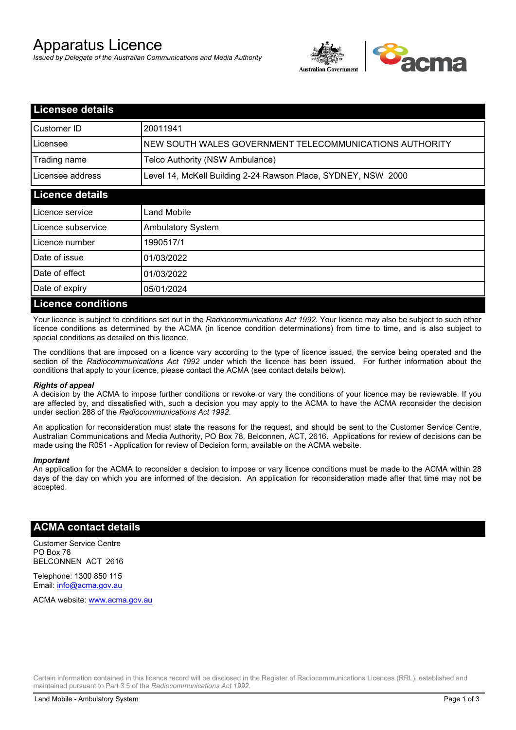# Apparatus Licence

*Issued by Delegate of the Australian Communications and Media Authority*



| <b>Licensee details</b>   |                                                               |
|---------------------------|---------------------------------------------------------------|
| Customer ID               | 20011941                                                      |
| Licensee                  | NEW SOUTH WALES GOVERNMENT TELECOMMUNICATIONS AUTHORITY       |
| Trading name              | Telco Authority (NSW Ambulance)                               |
| Licensee address          | Level 14, McKell Building 2-24 Rawson Place, SYDNEY, NSW 2000 |
| <b>Licence details</b>    |                                                               |
| Licence service           | Land Mobile                                                   |
| Licence subservice        | <b>Ambulatory System</b>                                      |
| Licence number            | 1990517/1                                                     |
| Date of issue             | 01/03/2022                                                    |
| Date of effect            | 01/03/2022                                                    |
| Date of expiry            | 05/01/2024                                                    |
| <b>Licence conditions</b> |                                                               |

Your licence is subject to conditions set out in the *Radiocommunications Act 1992*. Your licence may also be subject to such other licence conditions as determined by the ACMA (in licence condition determinations) from time to time, and is also subject to special conditions as detailed on this licence.

The conditions that are imposed on a licence vary according to the type of licence issued, the service being operated and the section of the *Radiocommunications Act 1992* under which the licence has been issued. For further information about the conditions that apply to your licence, please contact the ACMA (see contact details below).

#### *Rights of appeal*

A decision by the ACMA to impose further conditions or revoke or vary the conditions of your licence may be reviewable. If you are affected by, and dissatisfied with, such a decision you may apply to the ACMA to have the ACMA reconsider the decision under section 288 of the *Radiocommunications Act 1992*.

An application for reconsideration must state the reasons for the request, and should be sent to the Customer Service Centre, Australian Communications and Media Authority, PO Box 78, Belconnen, ACT, 2616. Applications for review of decisions can be made using the R051 - Application for review of Decision form, available on the ACMA website.

#### *Important*

An application for the ACMA to reconsider a decision to impose or vary licence conditions must be made to the ACMA within 28 days of the day on which you are informed of the decision. An application for reconsideration made after that time may not be accepted.

### **ACMA contact details**

Customer Service Centre PO Box 78 BELCONNEN ACT 2616

Telephone: 1300 850 115 Email: info@acma.gov.au

ACMA website: www.acma.gov.au

Certain information contained in this licence record will be disclosed in the Register of Radiocommunications Licences (RRL), established and maintained pursuant to Part 3.5 of the *Radiocommunications Act 1992.*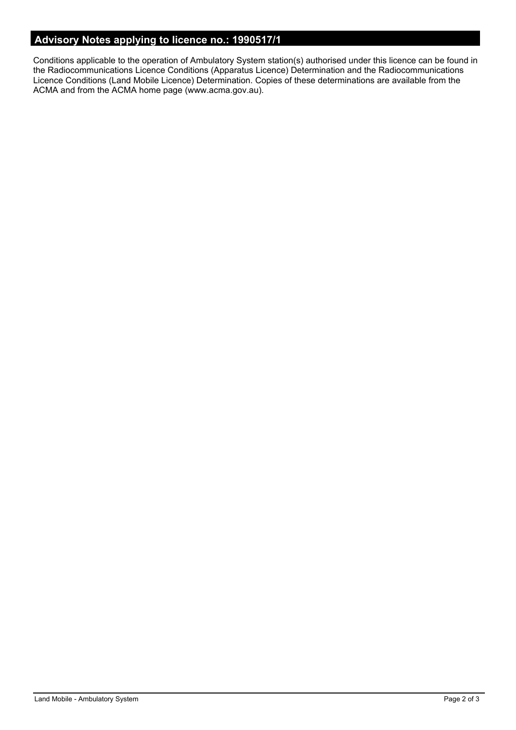# **Advisory Notes applying to licence no.: 1990517/1**

Conditions applicable to the operation of Ambulatory System station(s) authorised under this licence can be found in the Radiocommunications Licence Conditions (Apparatus Licence) Determination and the Radiocommunications Licence Conditions (Land Mobile Licence) Determination. Copies of these determinations are available from the ACMA and from the ACMA home page (www.acma.gov.au).